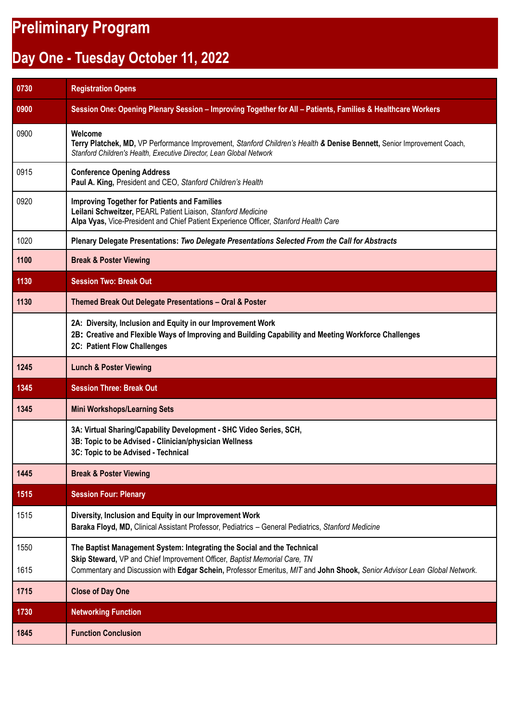## **Preliminary Program**

## **Day One - Tuesday October 11, 2022**

| 0730 | <b>Registration Opens</b>                                                                                                                                                                                   |
|------|-------------------------------------------------------------------------------------------------------------------------------------------------------------------------------------------------------------|
| 0900 | Session One: Opening Plenary Session - Improving Together for All - Patients, Families & Healthcare Workers                                                                                                 |
| 0900 | Welcome<br>Terry Platchek, MD, VP Performance Improvement, Stanford Children's Health & Denise Bennett, Senior Improvement Coach,<br>Stanford Children's Health, Executive Director, Lean Global Network    |
| 0915 | <b>Conference Opening Address</b><br>Paul A. King, President and CEO, Stanford Children's Health                                                                                                            |
| 0920 | <b>Improving Together for Patients and Families</b><br>Leilani Schweitzer, PEARL Patient Liaison, Stanford Medicine<br>Alpa Vyas, Vice-President and Chief Patient Experience Officer, Stanford Health Care |
| 1020 | Plenary Delegate Presentations: Two Delegate Presentations Selected From the Call for Abstracts                                                                                                             |
| 1100 | <b>Break &amp; Poster Viewing</b>                                                                                                                                                                           |
| 1130 | <b>Session Two: Break Out</b>                                                                                                                                                                               |
| 1130 | Themed Break Out Delegate Presentations - Oral & Poster                                                                                                                                                     |
|      | 2A: Diversity, Inclusion and Equity in our Improvement Work<br>2B: Creative and Flexible Ways of Improving and Building Capability and Meeting Workforce Challenges<br>2C: Patient Flow Challenges          |
| 1245 | <b>Lunch &amp; Poster Viewing</b>                                                                                                                                                                           |
| 1345 | <b>Session Three: Break Out</b>                                                                                                                                                                             |
| 1345 | <b>Mini Workshops/Learning Sets</b>                                                                                                                                                                         |
|      | 3A: Virtual Sharing/Capability Development - SHC Video Series, SCH,<br>3B: Topic to be Advised - Clinician/physician Wellness<br>3C: Topic to be Advised - Technical                                        |
| 1445 | <b>Break &amp; Poster Viewing</b>                                                                                                                                                                           |
| 1515 | <b>Session Four: Plenary</b>                                                                                                                                                                                |
| 1515 | Diversity, Inclusion and Equity in our Improvement Work<br>Baraka Floyd, MD, Clinical Assistant Professor, Pediatrics - General Pediatrics, Stanford Medicine                                               |
| 1550 | The Baptist Management System: Integrating the Social and the Technical                                                                                                                                     |
| 1615 | Skip Steward, VP and Chief Improvement Officer, Baptist Memorial Care, TN<br>Commentary and Discussion with Edgar Schein, Professor Emeritus, MIT and John Shook, Senior Advisor Lean Global Network.       |
| 1715 | <b>Close of Day One</b>                                                                                                                                                                                     |
| 1730 | <b>Networking Function</b>                                                                                                                                                                                  |
| 1845 | <b>Function Conclusion</b>                                                                                                                                                                                  |